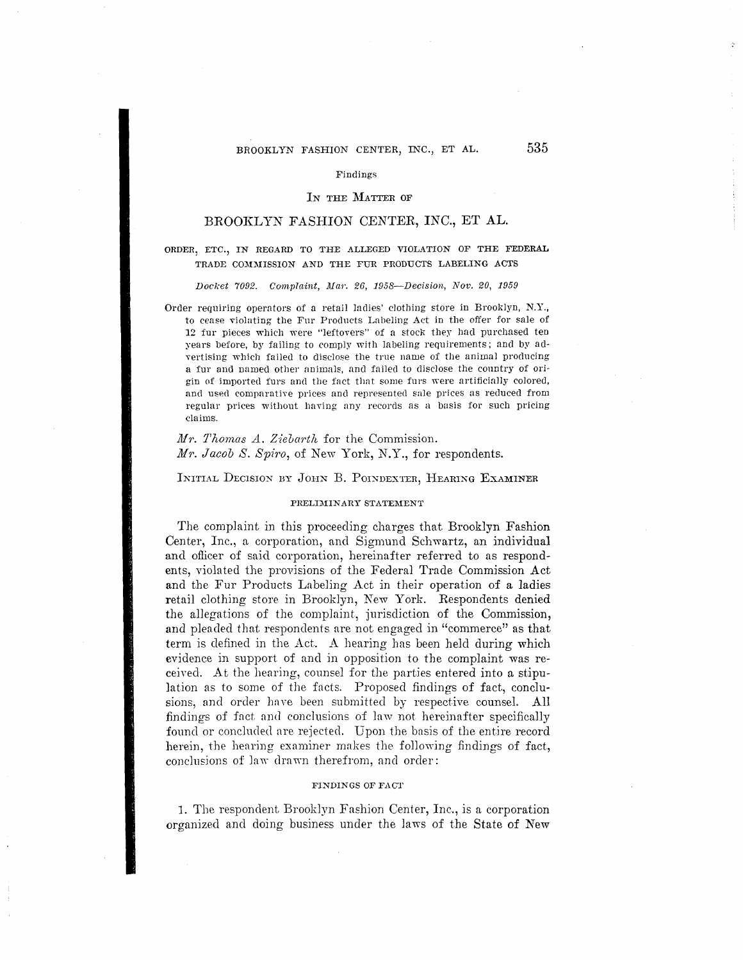# BROOKLYN FASHION CENTER, INC., ET AL. 535

#### Findings

#### IN THE MATTER OF

# BROOKLYN FASHION CENTER, INC., ET AL.

# ORDER, ETC., IN REGARD TO THE ALLEGED VIOLATION OF THE FEDERAL TRADE COMMISSION AND THE FUR PRODUCTS LABELING ACTS

#### Docket 7092. Complaint, Mar. 26, 1958-Decision, Nov. 20, 1959

Order requiring operators of a retail ladies' clothing store in Brooklyn, N.Y., to cease violating the Fur Products Labeling Act in the offer for sale of 12 fur pieces which were "leftovers" of a stock they hacl purchased ten years before, by failing to comply with labeling requirements; and by advertising which failed to disclose the true name of the animal producing a fur and named other animals, and failed to disclose the country of origin of imported furs and the fact that some furs were artificially colored, and used comparative prices and represented sale prices as reduced from regular prices without having any records as a basis for such pricing claims.

# *M'r. Tlwm,as A. Ziebarth* for the Commission. *M'r. Jacob S. Spiro,* of New York, N.Y., for respondents.

INITIAL DECISION BY JOHN B. POINDEXTER, HEARING EXAMINER

#### PRELIMINARY STATEMENT

The complaint in this proceeding charges that Brooklyn Fashion Center, Inc., a corporation, and Sigmund Schwartz, an individual and officer of said corporation, hereinafter referred to as respondents, violated the provisions of the Federal Trade Commission Act and the Fur Products Labeling Act in their operation of a ladies retail clothing store in Brooklyn, New York. Respondents denied the al1egations of the complaint, jurisdiction of the Commission, and pleaded that respondents are not engaged in "commerce" as that term is defined in the Act. A hearing has been held during which evidence in support of and in opposition to the complaint was received. At the hearing, counsel for the parties entered into a stipulation as to some of the facts. Proposed findings of fact, conclusions, and order have been submitted by respective counsel. All findings of fact and conclusions of law not hereinafter specifically found or concluded are rejected. Upon the basis of the entire record herein, the hearing examiner makes the following findings of fact, conclusions of law drawn therefrom, and order:

#### **FINDINGS OF FACT**

1. The respondent Brooklyn Fashion Center, Inc., is a corporation organized and doing business under the laws of the State of New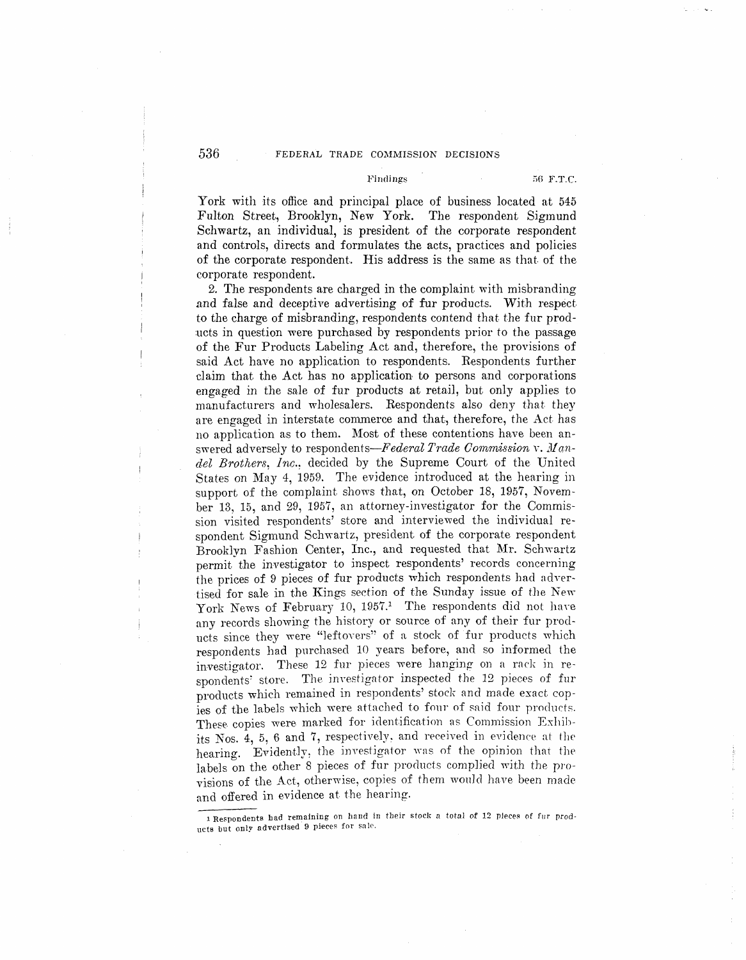## *536* FEDERAL TRADE COMMISSION DECISIONS

#### Findings 56 F.T.C.

York with its office and principal place of business located at 545 Fulton Street, Brooklyn, New York. The respondent Sigmund Schwartz, an individual, is president of the corporate respondent and controls, directs and formulates the acts, practices and policies of the corporate respondent. His address is the same as that of the corporate respondent.

2. The respondents are charged in the complaint with misbranding and false and deceptive advertising of fur products. With respect to the charge of misbranding, respondents contend that the fur prod ucts in question were purchased by respondents prior to the passage of the Fur Products Labeling Act and, therefore, the provisions of said Act have no application to respondents. Respondents further claim that the Act has no application to persons and corporations engaged in the sale of fur products at retail, but only applies to manufacturers and wholesalers. Respondents also deny that they are engaged in interstate commerce and that, therefore, the Act. has no application as to them. Most of these contentions have been answered adversely to respondents—Federal Trade Commission v. Man*del Brothers, Inc.:* decided by the Supreme Court of the United States on May 4, 1959. The evidence introduced at the hearing in support of the complaint shows that, on October 18, 1957, November 13, 15, and 29, 1957, an attorney-investigator for the Commission visited respondents' store and interviewed the individual respondent Sigmund Schwartz, president of the corporate respondent Brooklvn Fashion Center, Inc., and requested that Mr. Schwartz permit the investigator to inspect respondents' records concerning the prices of 9 pieces of fur products which respondents had advertised for sale in the Kings section of the Sunday issue of the New York News of February 10, 1957.<sup>1</sup> The respondents did not have any records showing the history or source of any of their fur products since they were "]eftovers" of a stock of fur products which respondents had purchased 10 years before, and so informed the investigator. These 12 fur pieces were hanging on a rack in respondents' store. The investigator inspected the 12 pieces of fur products which remained in respondents' stock and made exact copies of the labels which were attached to fonr of said four products. These. copies were marked for identification as Commission Exhibits Nos.  $4, 5, 6$  and 7, respectively, and received in evidence at the hearing. Evidently, the investigator was of the opinion that the labels on the other 8 pieces of fur products complied with the provisions of the Act, otherwise, copies of them would have been made and offered in evidence at the hearing.

<sup>1</sup> Respondents had remaining on hand in their stock a total of 12 pleces of fur products but only advertised 9 pieces for sale.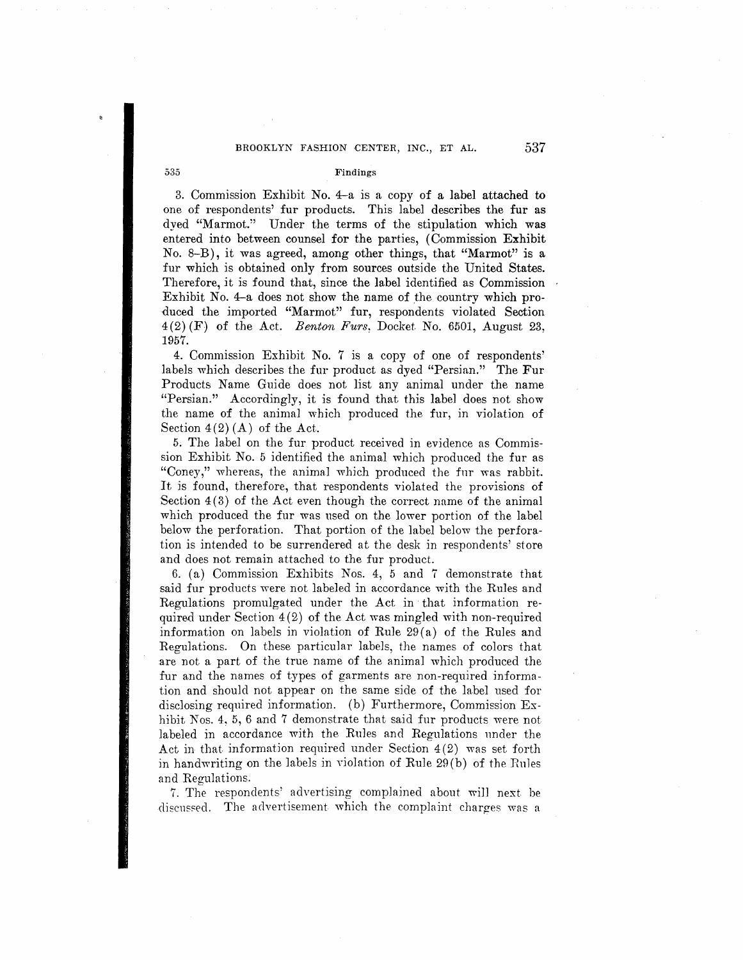# BROOKLYN FASHION CENTER, INC., ET AL. 537

### 535 Findings

3. Commission Exhibit No. 4-a is a copy of a label attached to one of respondents' fur products. This label describes the fur as dyed "Marmot.'' Under the terms of the stipulation which was entered into between counsel for the parties, (Commission Exhibit No. 8-B), it was agreed, among other things, that "Marmot" is a fur which is obtained only from sources outside the United States. Therefore, it is found that, since the label identified as Commission Exhibit No. 4-a does not show the name of the country which produced the imported "Marmot" fur, respondents violated Section 4(2) (F) of the Act. *Benton Furs,* Docket. No. 6501, August 23, 1957.

4. Commission Exhibit No. 7 is a copy of one of respondents' labels which describes the fur product as dyed "Persian." The Fur Products Name Guide does not list any animal under the name "Persian." Accordingly, it is found that this label does not show the. name of the animal which produced the fur, in violation of Section  $4(2)$  (A) of the Act.

5; The label on the fur product received in evidence as Commission Exhibit No. 5 identified the animal which produced the fur as "Coney," whereas, the animal which produced the fur was rabbit. It is found, therefore, that respondents violated the provisions **of**  Section  $4(3)$  of the Act even though the correct name of the animal which produced the fur was used on the lower portion of the label below the perforation. That portion of the label below the perforation is intended to be surrendered at the desk in respondents' store and does not remain attached to the fur product.

6. (a) Commission Exhibits Nos. 4, 5 and 7 demonstrate that said fur products were not labeled in accordance with the Rules and Regulations promulgated under the Act in ·that information required under Section 4(2) of the Act was mingled with non-required information on labels in violation of Rule 29 (a) of the Rules and Regulations. On these particular labels, the names of colors that are not a part of the true name of the animal which produced the fur and the names of types of garments are non-required information and should not appear on the same side of the label used for disclosing required information. (b) Furthermore, Commission Exhibit Nos. 4, 5, 6 and 7 demonstrate that said fur products were not labeled in accordance with the Rules and Regulations under the Act in that information required under Section 4 (2) was set forth in handwriting on the labels in violation of Rule 29 (b) of the Rules and Regulations.

7. The respondents' advertising complained about wi]] next be discussed. The advertisement which the complaint charges was a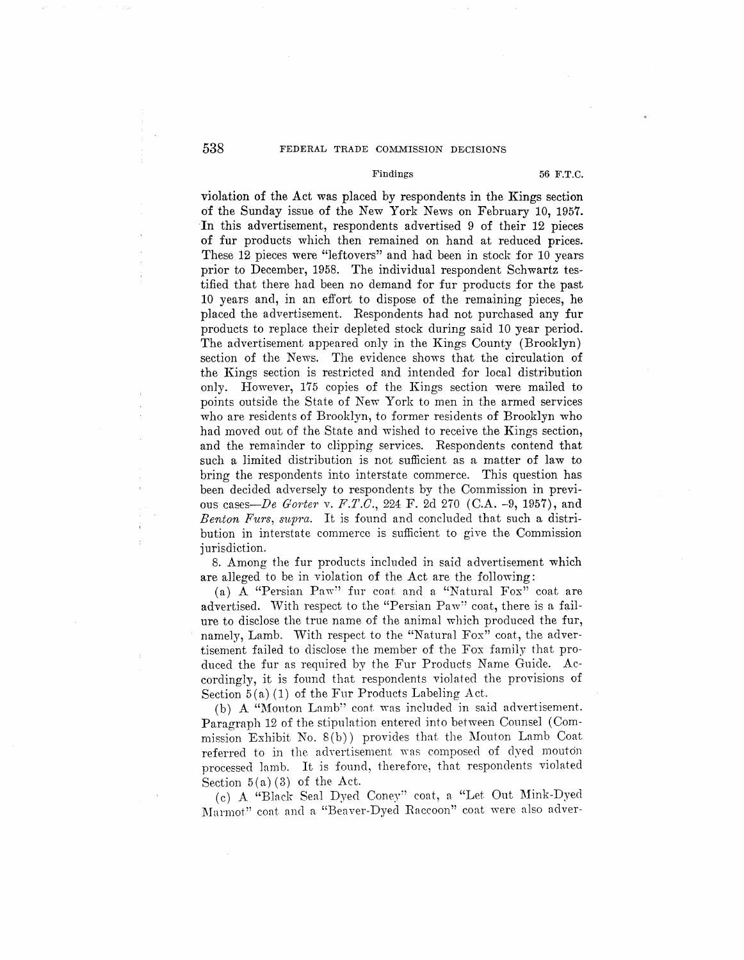## 538 FEDERAL TRADE COMMISSION DECISIONS

### Findings **56 F.T.C.**

violation of the Act was placed by respondents in the Kings section of the Sunday issue of the New York News on February 10, 1957. In this advertisement, respondents advertised 9 of their 12 pieces of fur products which then remained on hand at reduced prices. These 12 pieces were "leftovers" and had been in stock for 10 years prior to December, 1958. The individual respondent Schwartz testified that there had been no demand for fur products for the past 10 years and, in an effort to dispose of the remaining pieces, he placed the advertisement. Respondents had not purchased any fur products to replace their depleted stock during said 10 year period. The advertisement appeared only in the Kings County (Brooklyn) section of the News. The evidence shows that the circulation of the Kings section is restricted and intended for local distribution only. However, 175 copies of the Kings section were mailed to points outside the State of New York to men in the armed services who are residents of Brooklyn, to former residents of Brooklyn who had moved out of the State and wished to receive the Kings section, and the remainder to clipping services. Respondents contend that such a limited distribution is not sufficient as a matter of law to bring the respondents into interstate commerce. This question has been decided adversely to respondents by the Commission in previous cases-*De Gorter v. F.T.C.*, 224 F. 2d 270 (C.A. -9, 1957), and *Benton Furs, supra.* It is found and concluded that such a distribution in interstate commerce is sufficient to give the, Commission jurisdiction.

8. Among the fur products included in said advertisement which are alleged to be in violation of the Act are the following:

(a) A "Persian Paw" fur coat and a "Natural Fox" coat are advertised. With respect to the "Persian Paw" coat, there is a failure to disclose the true name of the animal which produced the fur, namely, Lamb. With respect to the "Natural Fox" coat, the advertisement failed to disclose the member of the Fox family that produced the fur as required by the Fur Products Name Guide. Accordingly, it is found that respondents violated the provisions of Section  $5(a)(1)$  of the Fur Products Labeling Act.

(b) A "Monton Lamb'' coat was included in said advertisement. Paragraph 12 of the stipulation entered into between Counsel (Commission Exhibit No. 8 (b)) provides that the Mouton Lamb Coat referred to in the advertisement was composed of dyed mouton processed lamb. It is found, therefore, that respondents violated Section  $5(a)(3)$  of the Act.

(c) A "Black Seal Dyed Coney" coat, a "Let Out Mink-Dyed Marmot" coat and a "Beaver-Dyed Raccoon" coat were a1so adver-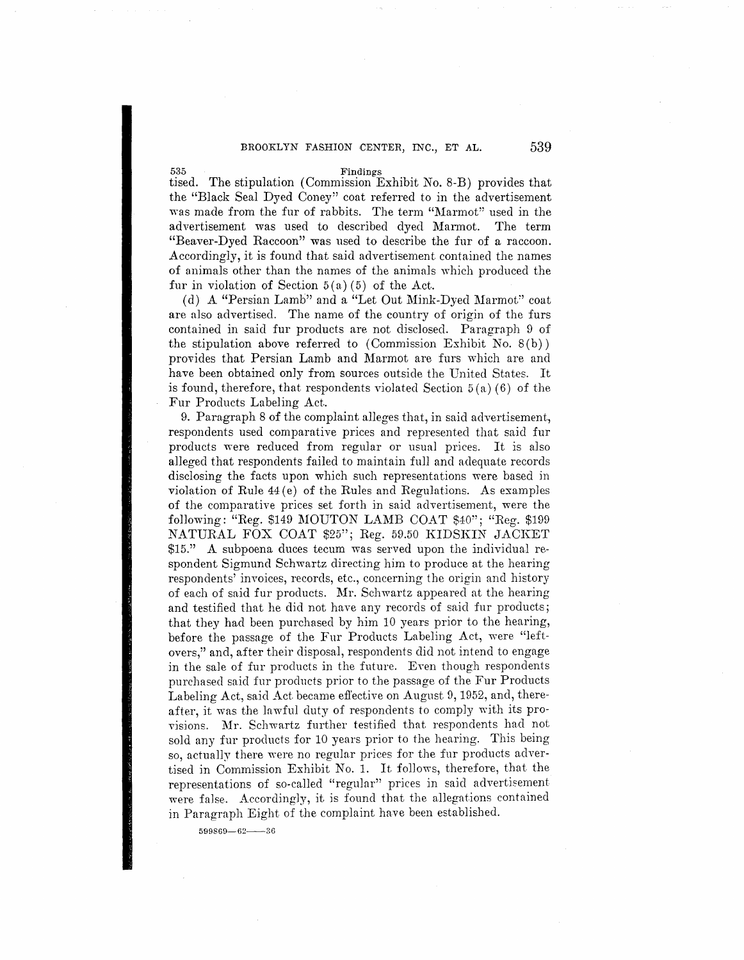## BROOKLYN FASHION CENTER, INC., ET **AL. 539**

**535 Findings**  tised. The stipulation ( Commission Exhibit No. 8-B) provides that the "Black Seal Dyed Coney" coat referred to in the advertisement was made from the fur of rabbits. The term "Marmot" used in the advertisement was used to described dyed Marmot. The term "Beaver-Dyed Raccoon" was used to describe the fur of a raccoon. Accordingly, it is found that said advertisement contained the names of animals other than the names of the animals which produced the fur in violation of Section  $5(a)(5)$  of the Act.

(d) A "Persian Lamb" and a "Let Out Mink-Dyed Marmot" coat are also advertised. The name of the country of origin of the furs contained in said fur products are not disclosed. Paragraph 9 of the stipulation above referred to  $(Commission\; Exhibit\; No. 8(b))$ provides that Persian Lamb and Marmot are furs which are and have been obtained only from sources outside the United States. It is found, therefore, that respondents violated Section  $5(a)(6)$  of the Fur Products Labeling Act.

9. Paragraph 8 of the complaint a11eges that, in said advertisement, respondents used comparative prices and represented that said fur products were reduced from regular or usual prices. It is also alleged that respondents failed to maintain full and adequate records disclosing the facts upon which such representations were based in violation of Rule  $44(e)$  of the Rules and Regulations. As examples of the comparative prices set forth in said advertisement, were the following: "Reg. \$149 MOUTON LAMB COAT \$40"; "Reg. \$199 NATURAL FOX COAT \$25"; Reg. 59.50 KIDSKIN JACKET \$15." A subpoena duces tecum was served upon the individual respondent Sigmund Schwartz directing him to produce at the hearing respondents' invoices, records, etc., concerning the origin and history of each of said fur products. Mr. Schwartz appeared at the hearing and testified that he did not have any records of said fur products; that they had been purchased by him 10 years prior to the hearing, before the passage of the Fur Products Labeling Act, were "leftovers," and, after their disposal, respondents did not intend to engage in the sale of fur products in the future. Even though respondents purchased said fur products prior to the passage of the Fur Products Labeling Act, said Act became effective on August 9, 1952, and, thereafter, it was the lawful duty of respondents to comply with its provisions. Mr. Schwartz further testified that respondents had not sold any fur products for 10 years prior to the hearing. This being so, actually there were no regular prices for the fur products advertised in Commission Exhibit No. 1. It follows, therefore, that the representations of so-called "regular" prices in said advertisement were false. Accordingly, it is found that the allegations contained in Parngraph Eight of the complaint have been established.

**599869-62-36**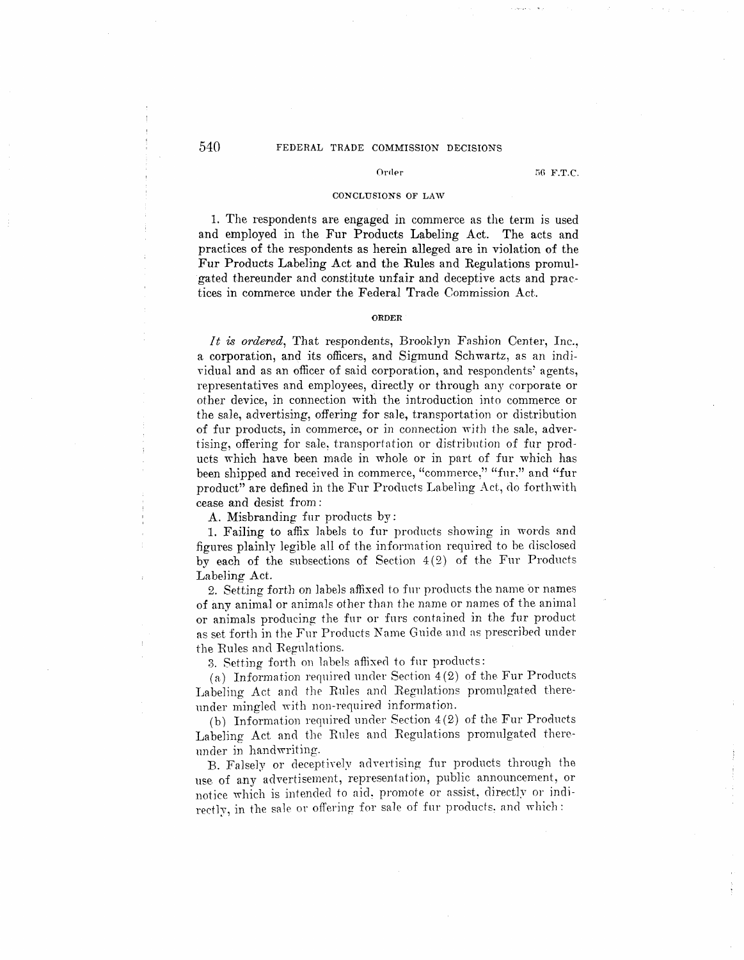## 540 FEDERAL TRADE COMMISSION DECISIONS

#### Order

56 F.T.C.

### CONCLUSIONS OF LAW

1. The respondents are engaged in commerce as the term is used and employed in the Fur Products Labeling Act. The acts and practices of the respondents as herein alleged are in violation of the Fur Products Labeling Act and the Rules and Regulations promulgated thereunder and constitute unfair and deceptive acts and practices in commerce under the Federal Trade Commission Act.

#### **ORDER**

*It is ordered*, That respondents, Brooklyn Fashion Center, Inc., a corporation, and its officers, and Sigmund Schwartz, as an individual and as an officer of said corporation, and respondents' agents, representatives and employees, directly or through any corporate or other device, in connection with the introduction into commerce or the sale, advertising, offering for sale, transportation or distribution of fur products, in commerce, or in connection with the sale, advertising, offering for sale, transportation or distribution of fur products which have been made in whole or in part of fur which has been shipped and received in commerce, "commerce," "fur." and "fur product" are defined in the Fur Products Labeling Act, do forthwith cease and desist from :

A. Misbranding fur products by:

1. Failing to affix labels to fur products showing in words and figures plainly legible a11 of the information required to be disclosed by each of the subsections of Section  $4(2)$  of the Fur Products Labeling Act.

2. Setting forth on labels affixed to fur products the name or names of any animal or animals other than the name or names of the animal or animals producing the fur or furs contained in the fur product as set forth in the Fur Products Name Guide and as prescribed under the Rules and Regnlntions.

3. Setting forth on labels affixed to fur products:

(a) Information required under Section  $4(2)$  of the Fur Products Labeling Act and the Rules and Regulations promulgated thereunder mingled with non-required information.

(b) Information required under Section  $4(2)$  of the Fur Products Labeling Act and the Rules and Regulations promulgated thereunder in handwriting.

B. Falsely or deceptively advertising fur products through the use of any advertisement, representation, public announcement, or notice which is intended to aid, promote or assist, directly or indirectly, in the sale or offering for sale of fur products, and which: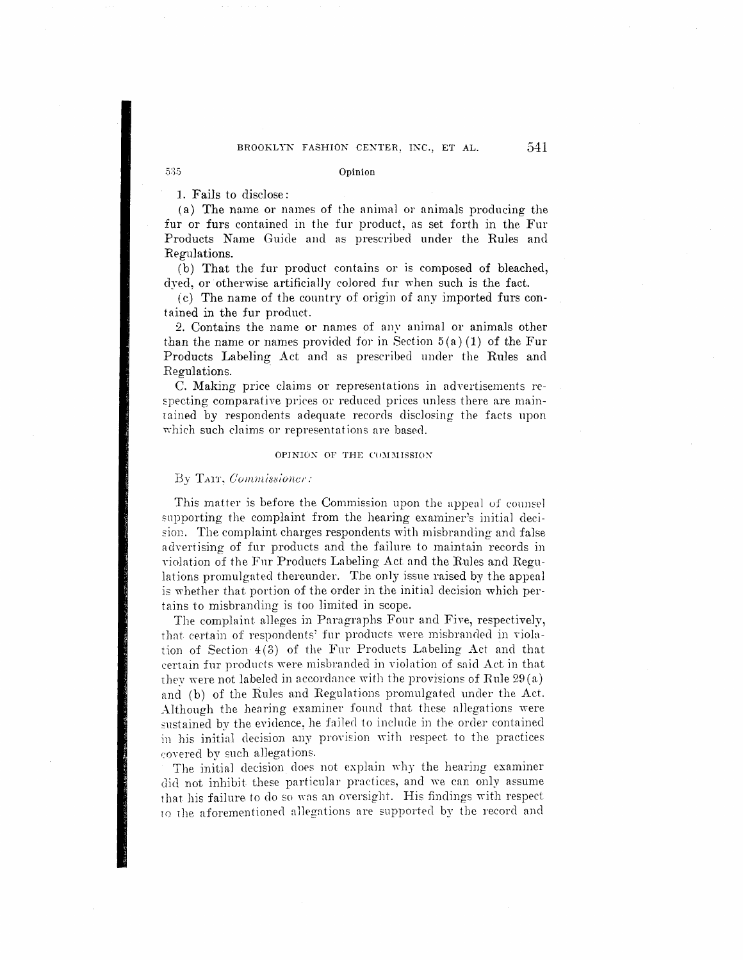#### Opinion

1. Fails to disclose:

535

(a) The name or names of the animal or animals producing the fur or furs contained in the fur product, as set forth in the Fur Products Name Guide and as prescribed under the Rules and Regulations.

(b) That the fur product contains or is composed of bleached, dyed, or otherwise artificially colored fur when such is the fact.

*(*c) The name of the country of origin of any imported furs contained in the fur product.

2. Contains the name. or names of any animal or animals other than the name or names provided for in Section  $5(a)(1)$  of the Fur Products Labeling Act and as prescribed under the Rules and Regulations.

C. Making price claims or representations in advertisements respecting comparative prices or reduced prices unless there are maintained by respondents adequate records disclosing the facts upon which such claims or representations are based.

#### **OPINION OF THE COMMISSION**

### By TAIT, Commissioner:

This matter is before the Commission upon the appeal of counsel supporting the complaint from the hearing examiner's initial deci sion. The complaint charges respondents with misbranding and false advertising of fur products and the failure to maintain records in violation of the Fur Products Labeling Act and the Rules and Regulations promulgated thereunder. The only issue raised by the appeal is whether that portion of the order in the initial decision which pertains to misbranding is too limited in scope.

The complaint alleges in Paragraphs Four and Five, respectively, that certain of respondents' fur products were misbranded in violation of Section 4(3) of the Fur Products Labeling Act and that certain fur products were misbranded in violation of said Act in that they were not labeled in accordance with the provisions of Rule  $29(a)$ and (b) of the Rules and Regulations promulgated under the Act. Although the hearing examiner found that these allegations were sustained by the evidence, he failed to include in the order contained in his initial decision any provision with respect to the practices covered by such allegations.

The initial decision does not explain why the hearing examiner did not inhibit these particular practices, and we can only assume that his failure to do so was an oversight. His findings with respect ro the aforementioned allegations are supported by the record and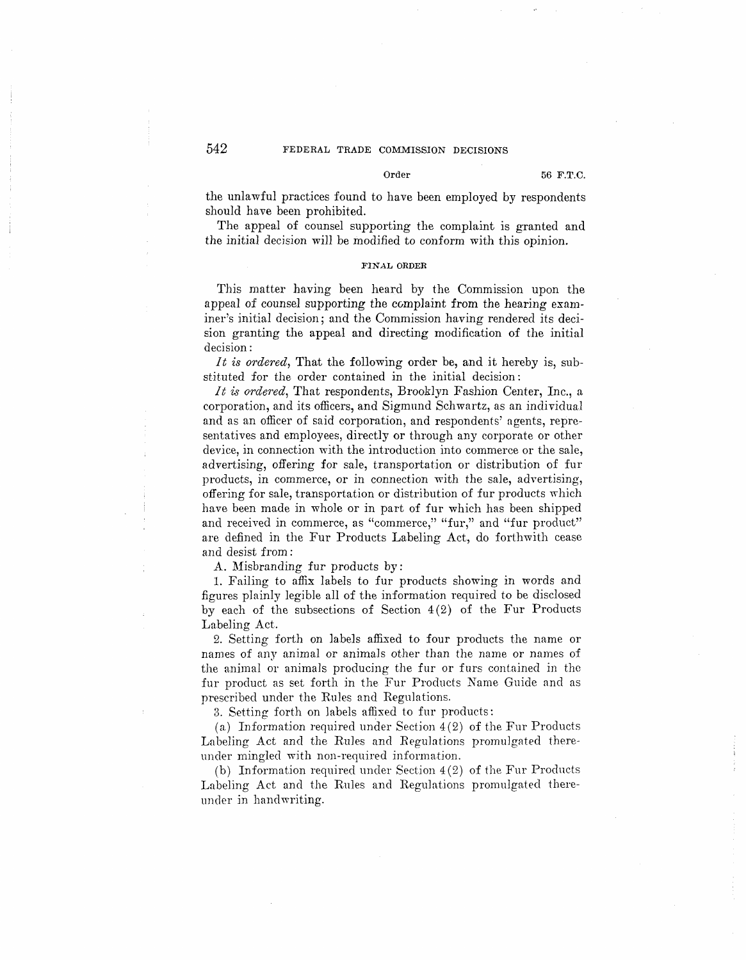the unlawful practices found to have been employed by respondents should have been prohibited.

The appeal of counsel supporting the complaint is granted and the initial decision will be modified to conform with this opinion.

### **FINAL ORDER**

This matter having been heard by the Commission upon the appeal of counsel supporting the complaint from the hearing examiner's initial decision; and the Commission having rendered its decision granting the appeal and directing modification of the initial decision:

*It is ordered*, That the following order be, and it hereby is, substituted for the order contained in the initial decision:

*It is ordered,* That respondents, Brooklyn Fashion Center, Inc., a corporation, and its officers, and Sigmund Schwartz, as an individual and as an officer of said corporation, and respondents' agents, representatives and employees, directly or through any corporate or other device, in connection with the introduction into commerce or the sale, advertising, offering for sale, transportation or distribution of fur products, in commerce, or in connection with the sale, advertising, offering for sale, transportation or distribution of fur products which have been made in whole or in part of fur which has been shipped and received in commerce, as "commerce," "fur," and "fur product" are defined in the Fur Products Labeling Act, do forthwith cease and desist from :

A. Misbranding fur products by:

1. Failing to affix labels to fur products showing in words and figures plainly legible all of the information required to be disclosed by each of the subsections of Section 4(2) of the Fur Products Labeling Act.

2. Setting forth on labels affixed to four products the name or names of any animal or animals other than the name or names of the animal or animals producing the fur or furs contained in the fur product as set forth in the Fur Products Name Guide and as prescribed under the Rules and Regulations.

3. Setting forth on labels affixed to fur products:

(a) Information required under Section  $4(2)$  of the Fur Products Labeling Act and the Rules and Regulations promulgated thereunder mingled with non-required information.

(b) Information required under Section 4 (2) of the Fur Products Labeling Act and the Rules and Regulations promulgated thereunder in handwriting.